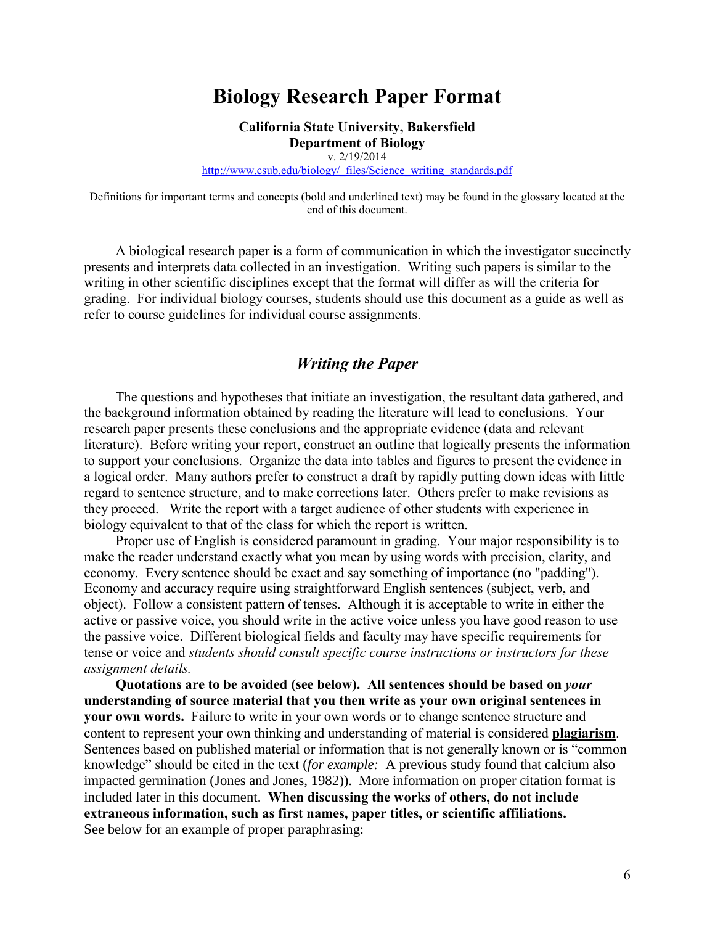# **Biology Research Paper Format**

**California State University, Bakersfield Department of Biology**

v. 2/19/2014

[http://www.csub.edu/biology/\\_files/Science\\_writing\\_standards.pdf](http://www.csub.edu/biology/_files/Science_writing_standards.pdf)

Definitions for important terms and concepts (bold and underlined text) may be found in the glossary located at the end of this document.

A biological research paper is a form of communication in which the investigator succinctly presents and interprets data collected in an investigation. Writing such papers is similar to the writing in other scientific disciplines except that the format will differ as will the criteria for grading. For individual biology courses, students should use this document as a guide as well as refer to course guidelines for individual course assignments.

# *Writing the Paper*

The questions and hypotheses that initiate an investigation, the resultant data gathered, and the background information obtained by reading the literature will lead to conclusions. Your research paper presents these conclusions and the appropriate evidence (data and relevant literature). Before writing your report, construct an outline that logically presents the information to support your conclusions. Organize the data into tables and figures to present the evidence in a logical order. Many authors prefer to construct a draft by rapidly putting down ideas with little regard to sentence structure, and to make corrections later. Others prefer to make revisions as they proceed. Write the report with a target audience of other students with experience in biology equivalent to that of the class for which the report is written.

Proper use of English is considered paramount in grading. Your major responsibility is to make the reader understand exactly what you mean by using words with precision, clarity, and economy. Every sentence should be exact and say something of importance (no "padding"). Economy and accuracy require using straightforward English sentences (subject, verb, and object). Follow a consistent pattern of tenses. Although it is acceptable to write in either the active or passive voice, you should write in the active voice unless you have good reason to use the passive voice. Different biological fields and faculty may have specific requirements for tense or voice and *students should consult specific course instructions or instructors for these assignment details.* 

**Quotations are to be avoided (see below). All sentences should be based on** *your* **understanding of source material that you then write as your own original sentences in your own words.** Failure to write in your own words or to change sentence structure and content to represent your own thinking and understanding of material is considered **plagiarism**. Sentences based on published material or information that is not generally known or is "common knowledge" should be cited in the text (*for example:* A previous study found that calcium also impacted germination (Jones and Jones, 1982)). More information on proper citation format is included later in this document. **When discussing the works of others, do not include extraneous information, such as first names, paper titles, or scientific affiliations.**  See below for an example of proper paraphrasing: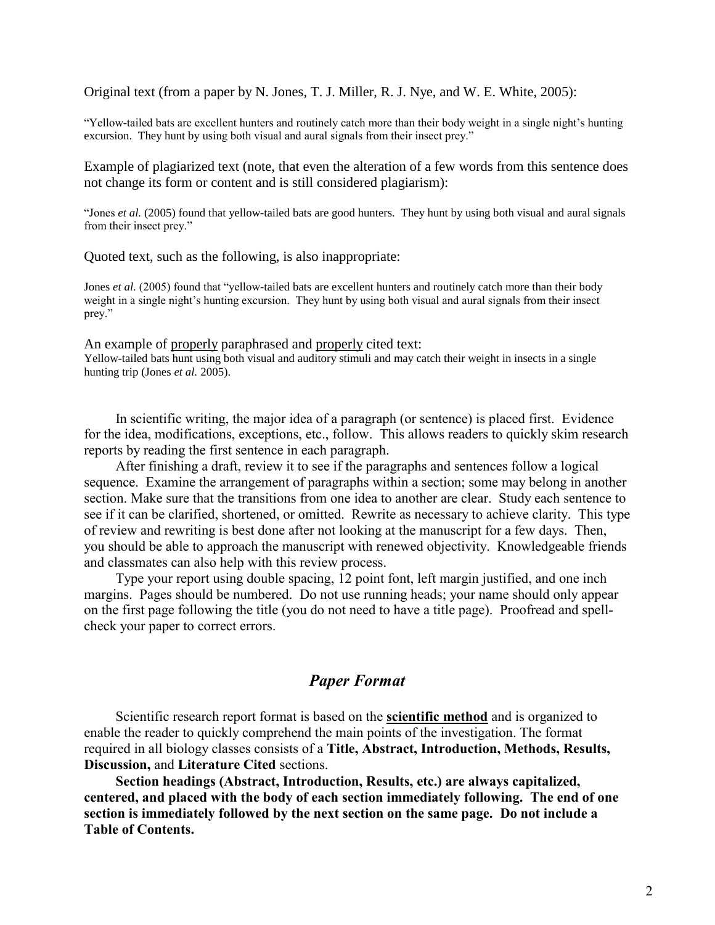Original text (from a paper by N. Jones, T. J. Miller, R. J. Nye, and W. E. White, 2005):

"Yellow-tailed bats are excellent hunters and routinely catch more than their body weight in a single night's hunting excursion. They hunt by using both visual and aural signals from their insect prey."

Example of plagiarized text (note, that even the alteration of a few words from this sentence does not change its form or content and is still considered plagiarism):

"Jones *et al.* (2005) found that yellow-tailed bats are good hunters. They hunt by using both visual and aural signals from their insect prey."

Quoted text, such as the following, is also inappropriate:

Jones *et al.* (2005) found that "yellow-tailed bats are excellent hunters and routinely catch more than their body weight in a single night's hunting excursion. They hunt by using both visual and aural signals from their insect prey."

An example of properly paraphrased and properly cited text: Yellow-tailed bats hunt using both visual and auditory stimuli and may catch their weight in insects in a single hunting trip (Jones *et al.* 2005).

In scientific writing, the major idea of a paragraph (or sentence) is placed first. Evidence for the idea, modifications, exceptions, etc., follow. This allows readers to quickly skim research reports by reading the first sentence in each paragraph.

After finishing a draft, review it to see if the paragraphs and sentences follow a logical sequence. Examine the arrangement of paragraphs within a section; some may belong in another section. Make sure that the transitions from one idea to another are clear. Study each sentence to see if it can be clarified, shortened, or omitted. Rewrite as necessary to achieve clarity. This type of review and rewriting is best done after not looking at the manuscript for a few days. Then, you should be able to approach the manuscript with renewed objectivity. Knowledgeable friends and classmates can also help with this review process.

Type your report using double spacing, 12 point font, left margin justified, and one inch margins. Pages should be numbered. Do not use running heads; your name should only appear on the first page following the title (you do not need to have a title page). Proofread and spellcheck your paper to correct errors.

## *Paper Format*

Scientific research report format is based on the **scientific method** and is organized to enable the reader to quickly comprehend the main points of the investigation. The format required in all biology classes consists of a **Title, Abstract, Introduction, Methods, Results, Discussion,** and **Literature Cited** sections.

**Section headings (Abstract, Introduction, Results, etc.) are always capitalized, centered, and placed with the body of each section immediately following. The end of one section is immediately followed by the next section on the same page. Do not include a Table of Contents.**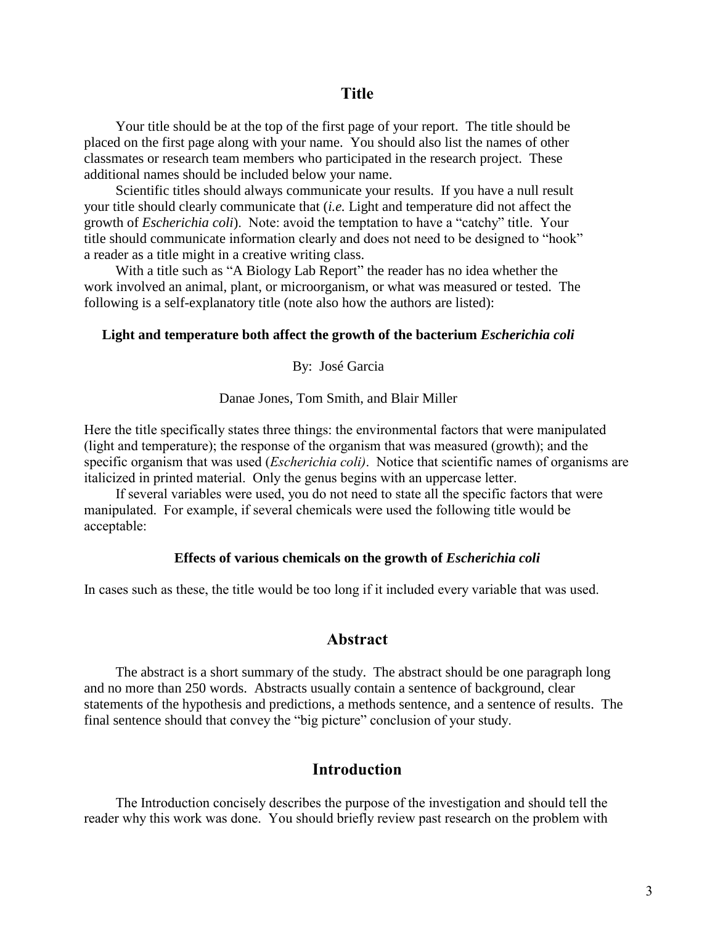Your title should be at the top of the first page of your report. The title should be placed on the first page along with your name. You should also list the names of other classmates or research team members who participated in the research project. These additional names should be included below your name.

Scientific titles should always communicate your results. If you have a null result your title should clearly communicate that (*i.e.* Light and temperature did not affect the growth of *Escherichia coli*). Note: avoid the temptation to have a "catchy" title. Your title should communicate information clearly and does not need to be designed to "hook" a reader as a title might in a creative writing class.

With a title such as "A Biology Lab Report" the reader has no idea whether the work involved an animal, plant, or microorganism, or what was measured or tested. The following is a self-explanatory title (note also how the authors are listed):

#### **Light and temperature both affect the growth of the bacterium** *Escherichia coli*

By: José Garcia

Danae Jones, Tom Smith, and Blair Miller

Here the title specifically states three things: the environmental factors that were manipulated (light and temperature); the response of the organism that was measured (growth); and the specific organism that was used (*Escherichia coli)*. Notice that scientific names of organisms are italicized in printed material. Only the genus begins with an uppercase letter.

If several variables were used, you do not need to state all the specific factors that were manipulated. For example, if several chemicals were used the following title would be acceptable:

#### **Effects of various chemicals on the growth of** *Escherichia coli*

In cases such as these, the title would be too long if it included every variable that was used.

### **Abstract**

The abstract is a short summary of the study. The abstract should be one paragraph long and no more than 250 words. Abstracts usually contain a sentence of background, clear statements of the hypothesis and predictions, a methods sentence, and a sentence of results. The final sentence should that convey the "big picture" conclusion of your study.

# **Introduction**

The Introduction concisely describes the purpose of the investigation and should tell the reader why this work was done. You should briefly review past research on the problem with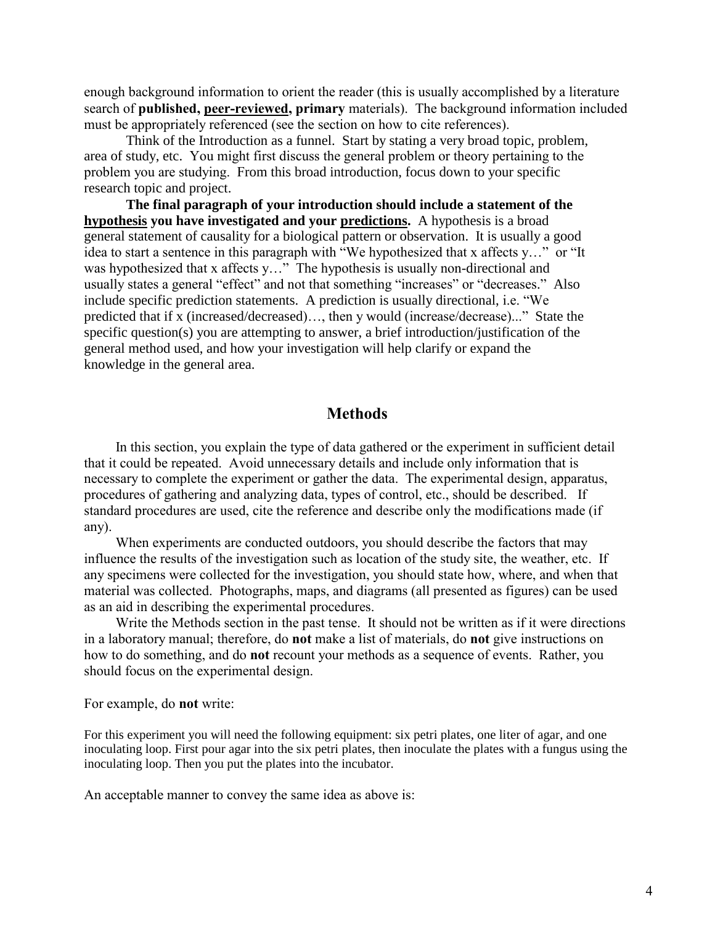enough background information to orient the reader (this is usually accomplished by a literature search of **published, peer-reviewed, primary** materials). The background information included must be appropriately referenced (see the section on how to cite references).

Think of the Introduction as a funnel. Start by stating a very broad topic, problem, area of study, etc. You might first discuss the general problem or theory pertaining to the problem you are studying. From this broad introduction, focus down to your specific research topic and project.

**The final paragraph of your introduction should include a statement of the hypothesis you have investigated and your predictions.** A hypothesis is a broad general statement of causality for a biological pattern or observation. It is usually a good idea to start a sentence in this paragraph with "We hypothesized that x affects y…" or "It was hypothesized that x affects y..." The hypothesis is usually non-directional and usually states a general "effect" and not that something "increases" or "decreases." Also include specific prediction statements. A prediction is usually directional, i.e. "We predicted that if x (increased/decreased)…, then y would (increase/decrease)..." State the specific question(s) you are attempting to answer, a brief introduction/justification of the general method used, and how your investigation will help clarify or expand the knowledge in the general area.

### **Methods**

In this section, you explain the type of data gathered or the experiment in sufficient detail that it could be repeated. Avoid unnecessary details and include only information that is necessary to complete the experiment or gather the data. The experimental design, apparatus, procedures of gathering and analyzing data, types of control, etc., should be described. If standard procedures are used, cite the reference and describe only the modifications made (if any).

When experiments are conducted outdoors, you should describe the factors that may influence the results of the investigation such as location of the study site, the weather, etc. If any specimens were collected for the investigation, you should state how, where, and when that material was collected. Photographs, maps, and diagrams (all presented as figures) can be used as an aid in describing the experimental procedures.

Write the Methods section in the past tense. It should not be written as if it were directions in a laboratory manual; therefore, do **not** make a list of materials, do **not** give instructions on how to do something, and do **not** recount your methods as a sequence of events. Rather, you should focus on the experimental design.

For example, do **not** write:

For this experiment you will need the following equipment: six petri plates, one liter of agar, and one inoculating loop. First pour agar into the six petri plates, then inoculate the plates with a fungus using the inoculating loop. Then you put the plates into the incubator.

An acceptable manner to convey the same idea as above is: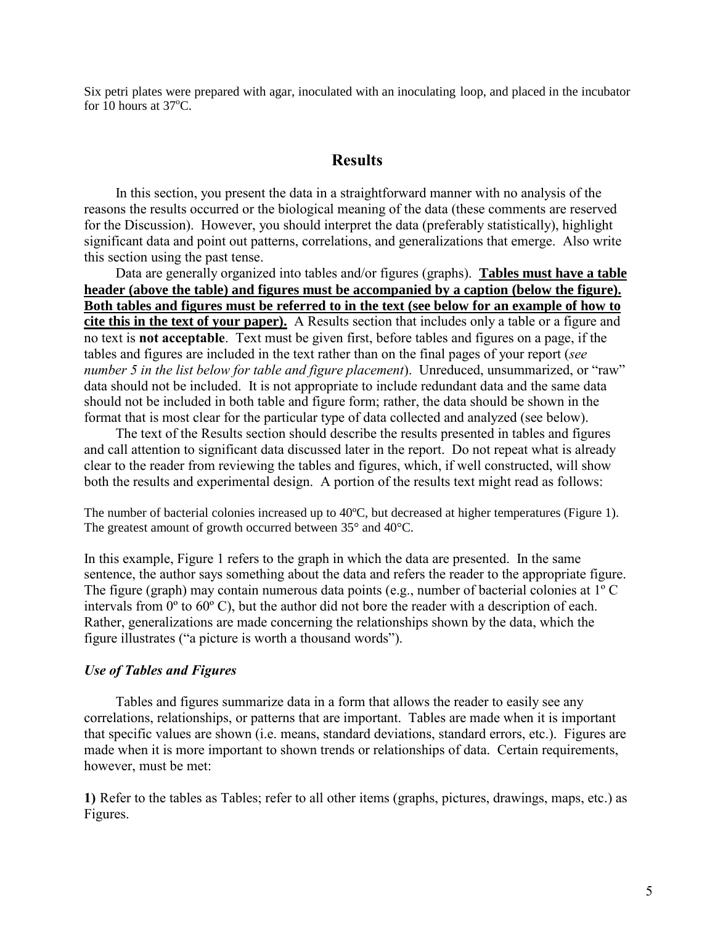Six petri plates were prepared with agar, inoculated with an inoculating loop, and placed in the incubator for 10 hours at  $37^{\circ}$ C.

# **Results**

In this section, you present the data in a straightforward manner with no analysis of the reasons the results occurred or the biological meaning of the data (these comments are reserved for the Discussion). However, you should interpret the data (preferably statistically), highlight significant data and point out patterns, correlations, and generalizations that emerge. Also write this section using the past tense.

Data are generally organized into tables and/or figures (graphs). **Tables must have a table header (above the table) and figures must be accompanied by a caption (below the figure). Both tables and figures must be referred to in the text (see below for an example of how to cite this in the text of your paper).** A Results section that includes only a table or a figure and no text is **not acceptable**. Text must be given first, before tables and figures on a page, if the tables and figures are included in the text rather than on the final pages of your report (*see number 5 in the list below for table and figure placement*). Unreduced, unsummarized, or "raw" data should not be included. It is not appropriate to include redundant data and the same data should not be included in both table and figure form; rather, the data should be shown in the format that is most clear for the particular type of data collected and analyzed (see below).

The text of the Results section should describe the results presented in tables and figures and call attention to significant data discussed later in the report. Do not repeat what is already clear to the reader from reviewing the tables and figures, which, if well constructed, will show both the results and experimental design. A portion of the results text might read as follows:

The number of bacterial colonies increased up to 40ºC, but decreased at higher temperatures (Figure 1). The greatest amount of growth occurred between 35° and 40°C.

In this example, Figure 1 refers to the graph in which the data are presented. In the same sentence, the author says something about the data and refers the reader to the appropriate figure. The figure (graph) may contain numerous data points (e.g., number of bacterial colonies at 1º C intervals from 0º to 60º C), but the author did not bore the reader with a description of each. Rather, generalizations are made concerning the relationships shown by the data, which the figure illustrates ("a picture is worth a thousand words").

### *Use of Tables and Figures*

Tables and figures summarize data in a form that allows the reader to easily see any correlations, relationships, or patterns that are important. Tables are made when it is important that specific values are shown (i.e. means, standard deviations, standard errors, etc.). Figures are made when it is more important to shown trends or relationships of data. Certain requirements, however, must be met:

**1)** Refer to the tables as Tables; refer to all other items (graphs, pictures, drawings, maps, etc.) as Figures.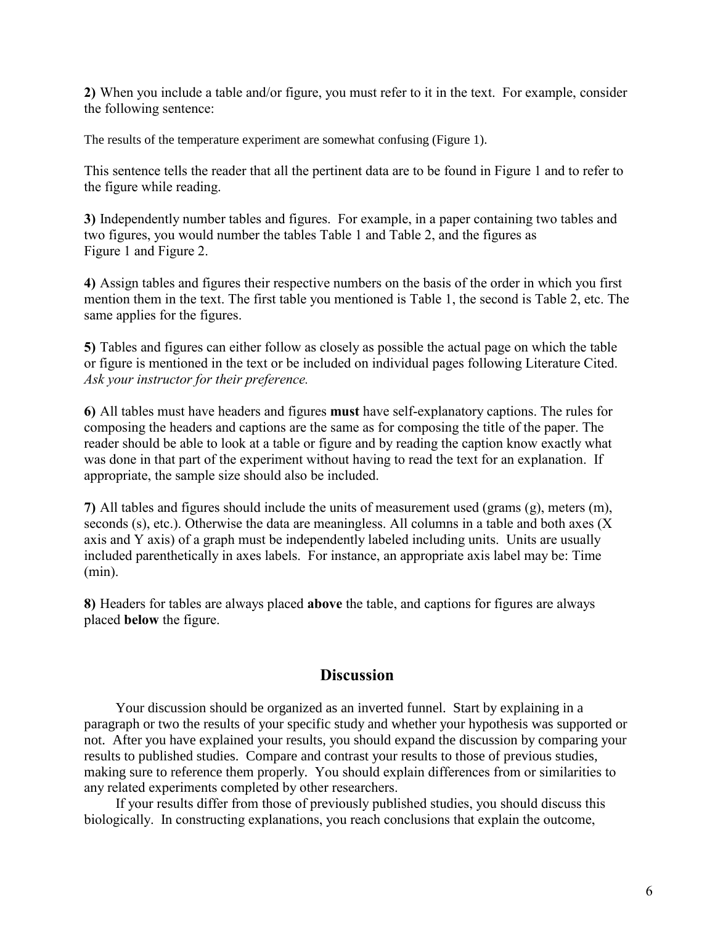**2)** When you include a table and/or figure, you must refer to it in the text. For example, consider the following sentence:

The results of the temperature experiment are somewhat confusing (Figure 1).

This sentence tells the reader that all the pertinent data are to be found in Figure 1 and to refer to the figure while reading.

**3)** Independently number tables and figures. For example, in a paper containing two tables and two figures, you would number the tables Table 1 and Table 2, and the figures as Figure 1 and Figure 2.

**4)** Assign tables and figures their respective numbers on the basis of the order in which you first mention them in the text. The first table you mentioned is Table 1, the second is Table 2, etc. The same applies for the figures.

**5)** Tables and figures can either follow as closely as possible the actual page on which the table or figure is mentioned in the text or be included on individual pages following Literature Cited. *Ask your instructor for their preference.*

**6)** All tables must have headers and figures **must** have self-explanatory captions. The rules for composing the headers and captions are the same as for composing the title of the paper. The reader should be able to look at a table or figure and by reading the caption know exactly what was done in that part of the experiment without having to read the text for an explanation. If appropriate, the sample size should also be included.

**7)** All tables and figures should include the units of measurement used (grams (g), meters (m), seconds (s), etc.). Otherwise the data are meaningless. All columns in a table and both axes (X) axis and Y axis) of a graph must be independently labeled including units. Units are usually included parenthetically in axes labels. For instance, an appropriate axis label may be: Time (min).

**8)** Headers for tables are always placed **above** the table, and captions for figures are always placed **below** the figure.

# **Discussion**

Your discussion should be organized as an inverted funnel. Start by explaining in a paragraph or two the results of your specific study and whether your hypothesis was supported or not. After you have explained your results, you should expand the discussion by comparing your results to published studies. Compare and contrast your results to those of previous studies, making sure to reference them properly. You should explain differences from or similarities to any related experiments completed by other researchers.

If your results differ from those of previously published studies, you should discuss this biologically. In constructing explanations, you reach conclusions that explain the outcome,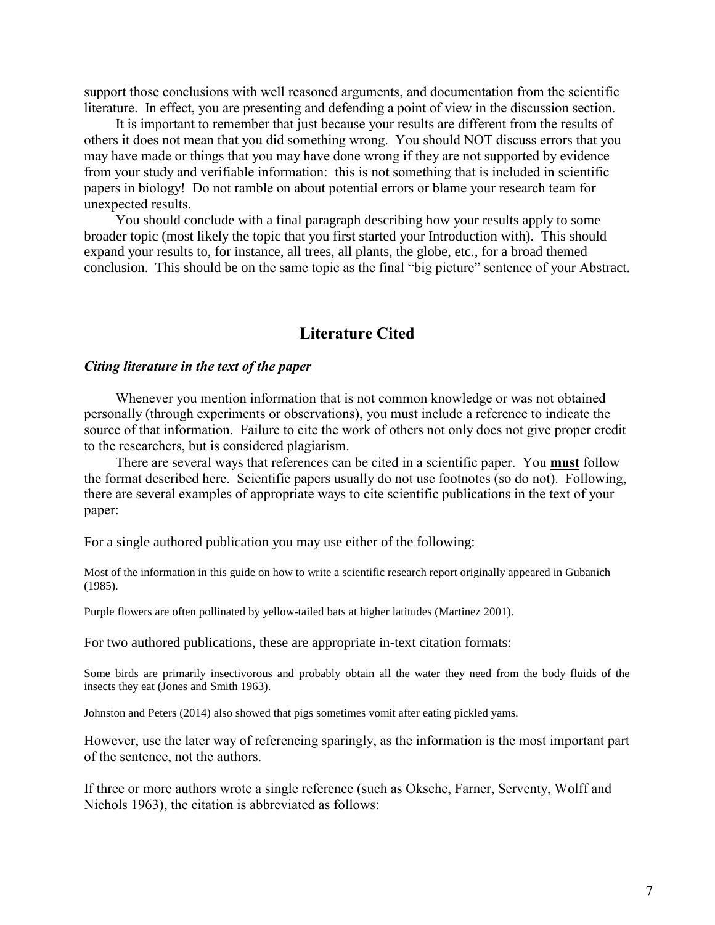support those conclusions with well reasoned arguments, and documentation from the scientific literature. In effect, you are presenting and defending a point of view in the discussion section.

It is important to remember that just because your results are different from the results of others it does not mean that you did something wrong. You should NOT discuss errors that you may have made or things that you may have done wrong if they are not supported by evidence from your study and verifiable information: this is not something that is included in scientific papers in biology! Do not ramble on about potential errors or blame your research team for unexpected results.

You should conclude with a final paragraph describing how your results apply to some broader topic (most likely the topic that you first started your Introduction with). This should expand your results to, for instance, all trees, all plants, the globe, etc., for a broad themed conclusion. This should be on the same topic as the final "big picture" sentence of your Abstract.

# **Literature Cited**

#### *Citing literature in the text of the paper*

Whenever you mention information that is not common knowledge or was not obtained personally (through experiments or observations), you must include a reference to indicate the source of that information. Failure to cite the work of others not only does not give proper credit to the researchers, but is considered plagiarism.

There are several ways that references can be cited in a scientific paper. You **must** follow the format described here. Scientific papers usually do not use footnotes (so do not). Following, there are several examples of appropriate ways to cite scientific publications in the text of your paper:

For a single authored publication you may use either of the following:

Most of the information in this guide on how to write a scientific research report originally appeared in Gubanich (1985).

Purple flowers are often pollinated by yellow-tailed bats at higher latitudes (Martinez 2001).

For two authored publications, these are appropriate in-text citation formats:

Some birds are primarily insectivorous and probably obtain all the water they need from the body fluids of the insects they eat (Jones and Smith 1963).

Johnston and Peters (2014) also showed that pigs sometimes vomit after eating pickled yams.

However, use the later way of referencing sparingly, as the information is the most important part of the sentence, not the authors.

If three or more authors wrote a single reference (such as Oksche, Farner, Serventy, Wolff and Nichols 1963), the citation is abbreviated as follows: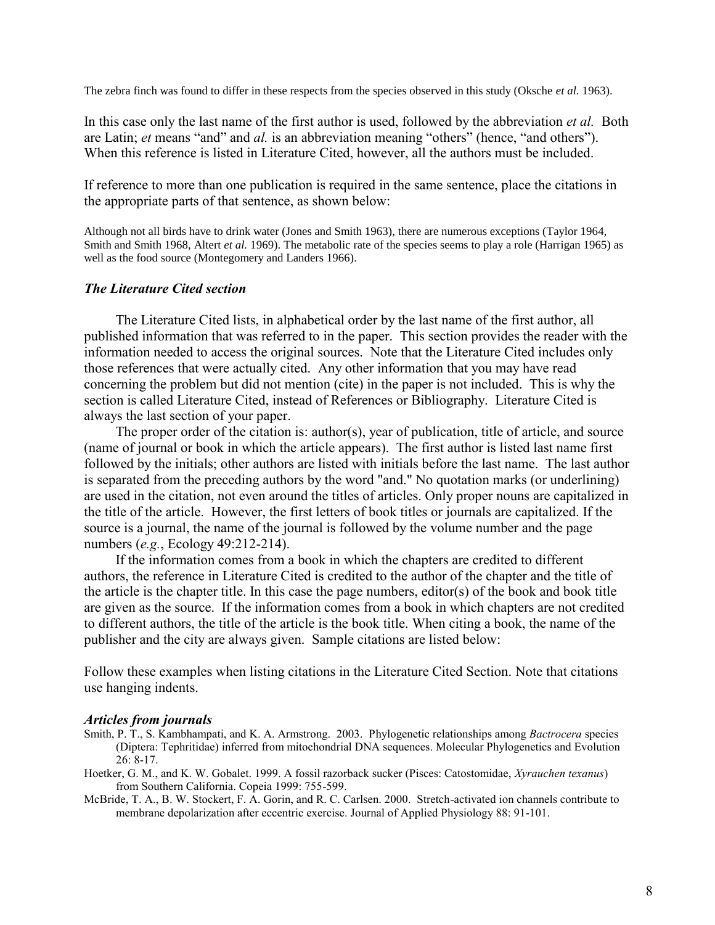The zebra finch was found to differ in these respects from the species observed in this study (Oksche *et al.* 1963).

In this case only the last name of the first author is used, followed by the abbreviation *et al.* Both are Latin; *et* means "and" and *al.* is an abbreviation meaning "others" (hence, "and others"). When this reference is listed in Literature Cited, however, all the authors must be included.

If reference to more than one publication is required in the same sentence, place the citations in the appropriate parts of that sentence, as shown below:

Although not all birds have to drink water (Jones and Smith 1963), there are numerous exceptions (Taylor 1964, Smith and Smith 1968, Altert *et al.* 1969). The metabolic rate of the species seems to play a role (Harrigan 1965) as well as the food source (Montegomery and Landers 1966).

#### *The Literature Cited section*

The Literature Cited lists, in alphabetical order by the last name of the first author, all published information that was referred to in the paper. This section provides the reader with the information needed to access the original sources. Note that the Literature Cited includes only those references that were actually cited. Any other information that you may have read concerning the problem but did not mention (cite) in the paper is not included. This is why the section is called Literature Cited, instead of References or Bibliography. Literature Cited is always the last section of your paper.

The proper order of the citation is: author(s), year of publication, title of article, and source (name of journal or book in which the article appears). The first author is listed last name first followed by the initials; other authors are listed with initials before the last name. The last author is separated from the preceding authors by the word "and." No quotation marks (or underlining) are used in the citation, not even around the titles of articles. Only proper nouns are capitalized in the title of the article. However, the first letters of book titles or journals are capitalized. If the source is a journal, the name of the journal is followed by the volume number and the page numbers (*e.g.*, Ecology 49:212-214).

If the information comes from a book in which the chapters are credited to different authors, the reference in Literature Cited is credited to the author of the chapter and the title of the article is the chapter title. In this case the page numbers, editor(s) of the book and book title are given as the source. If the information comes from a book in which chapters are not credited to different authors, the title of the article is the book title. When citing a book, the name of the publisher and the city are always given. Sample citations are listed below:

Follow these examples when listing citations in the Literature Cited Section. Note that citations use hanging indents.

#### *Articles from journals*

- Smith, P. T., S. Kambhampati, and K. A. Armstrong. 2003. Phylogenetic relationships among *Bactrocera* species (Diptera: Tephritidae) inferred from mitochondrial DNA sequences. Molecular Phylogenetics and Evolution 26: 8-17.
- Hoetker, G. M., and K. W. Gobalet. 1999. A fossil razorback sucker (Pisces: Catostomidae, *Xyrauchen texanus*) from Southern California. Copeia 1999: 755-599.
- McBride, T. A., B. W. Stockert, F. A. Gorin, and R. C. Carlsen. 2000. Stretch-activated ion channels contribute to membrane depolarization after eccentric exercise. Journal of Applied Physiology 88: 91-101.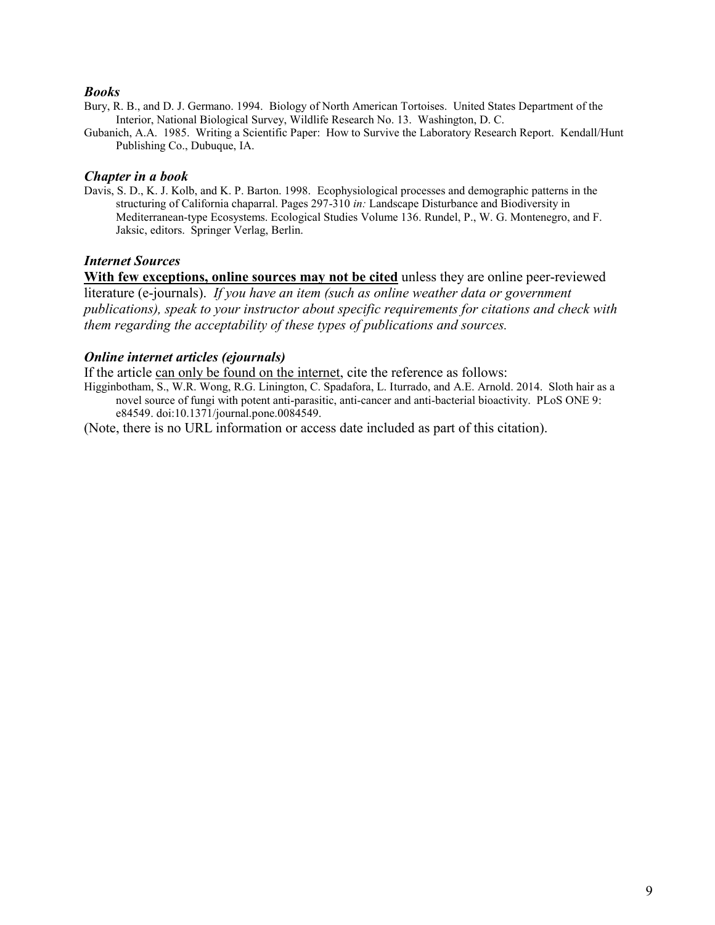#### *Books*

- Bury, R. B., and D. J. Germano. 1994. Biology of North American Tortoises. United States Department of the Interior, National Biological Survey, Wildlife Research No. 13. Washington, D. C.
- Gubanich, A.A. 1985. Writing a Scientific Paper: How to Survive the Laboratory Research Report. Kendall/Hunt Publishing Co., Dubuque, IA.

#### *Chapter in a book*

Davis, S. D., K. J. Kolb, and K. P. Barton. 1998. Ecophysiological processes and demographic patterns in the structuring of California chaparral. Pages 297-310 *in:* Landscape Disturbance and Biodiversity in Mediterranean-type Ecosystems. Ecological Studies Volume 136. Rundel, P., W. G. Montenegro, and F. Jaksic, editors. Springer Verlag, Berlin.

#### *Internet Sources*

**With few exceptions, online sources may not be cited** unless they are online peer-reviewed literature (e-journals). *If you have an item (such as online weather data or government publications), speak to your instructor about specific requirements for citations and check with them regarding the acceptability of these types of publications and sources.*

### *Online internet articles (ejournals)*

If the article can only be found on the internet, cite the reference as follows:

Higginbotham, S., W.R. Wong, R.G. Linington, C. Spadafora, L. Iturrado, and A.E. Arnold. 2014. Sloth hair as a novel source of fungi with potent anti-parasitic, anti-cancer and anti-bacterial bioactivity. PLoS ONE 9: e84549. doi:10.1371/journal.pone.0084549.

(Note, there is no URL information or access date included as part of this citation).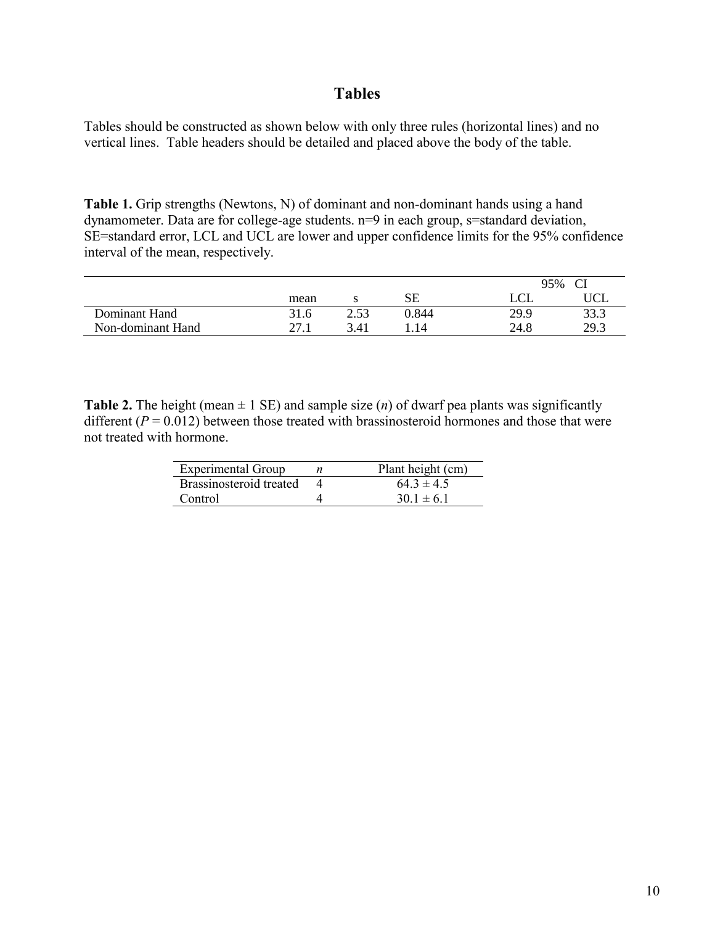# **Tables**

Tables should be constructed as shown below with only three rules (horizontal lines) and no vertical lines. Table headers should be detailed and placed above the body of the table.

Table 1. Grip strengths (Newtons, N) of dominant and non-dominant hands using a hand dynamometer. Data are for college-age students. n=9 in each group, s=standard deviation, SE=standard error, LCL and UCL are lower and upper confidence limits for the 95% confidence interval of the mean, respectively.

|                   |      |      |       | 95%  |      |  |
|-------------------|------|------|-------|------|------|--|
|                   | mean |      | SЕ    |      | UCL  |  |
| Dominant Hand     | 31.6 | 2.53 | 0.844 | 29.9 | 33.3 |  |
| Non-dominant Hand |      | .41  | .14   | 24.8 | 29.3 |  |

**Table 2.** The height (mean  $\pm$  1 SE) and sample size (*n*) of dwarf pea plants was significantly different  $(P = 0.012)$  between those treated with brassinosteroid hormones and those that were not treated with hormone.

| <b>Experimental Group</b> | Plant height (cm) |
|---------------------------|-------------------|
| Brassinosteroid treated   | $64.3 \pm 4.5$    |
| Control                   | $301 \pm 61$      |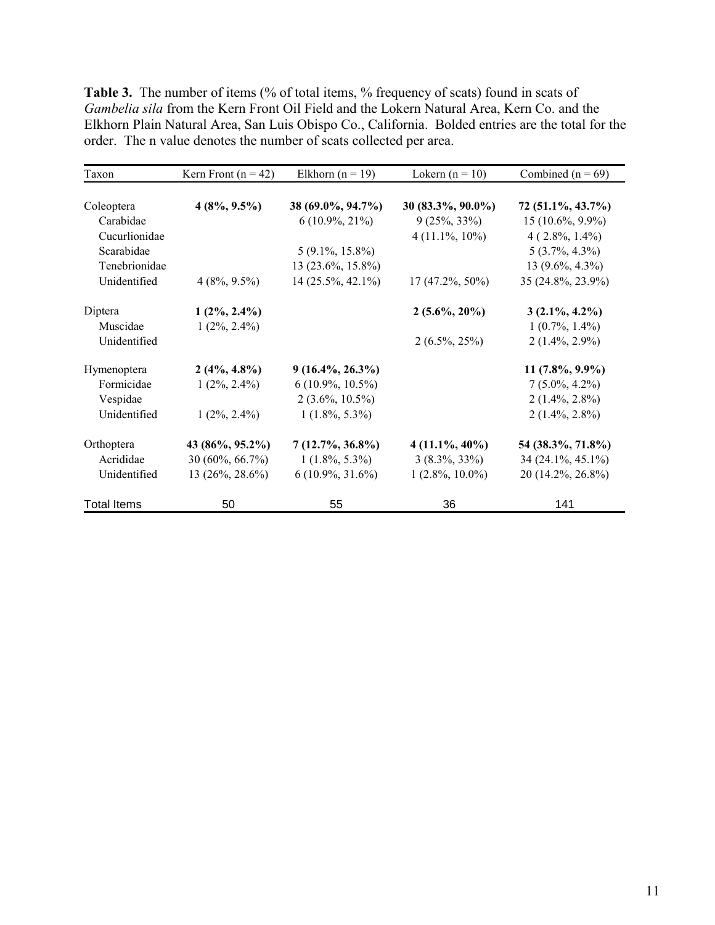Table 3. The number of items (% of total items, % frequency of scats) found in scats of *Gambelia sila* from the Kern Front Oil Field and the Lokern Natural Area, Kern Co. and the Elkhorn Plain Natural Area, San Luis Obispo Co., California. Bolded entries are the total for the order. The n value denotes the number of scats collected per area.

| Taxon              | Kern Front ( $n = 42$ ) | Elkhorn ( $n = 19$ ) | Lokern $(n = 10)$  | Combined ( $n = 69$ ) |
|--------------------|-------------------------|----------------------|--------------------|-----------------------|
| Coleoptera         | $4(8\%, 9.5\%)$         | 38 (69.0%, 94.7%)    | 30 (83.3%, 90.0%)  | 72 (51.1%, 43.7%)     |
| Carabidae          |                         | $6(10.9\%, 21\%)$    | $9(25\%, 33\%)$    | $15(10.6\%, 9.9\%)$   |
| Cucurlionidae      |                         |                      | $4(11.1\%, 10\%)$  | $4(2.8\%, 1.4\%)$     |
| Scarabidae         |                         | $5(9.1\%, 15.8\%)$   |                    | $5(3.7\%, 4.3\%)$     |
| Tenebrionidae      |                         | 13 (23.6%, 15.8%)    |                    | 13 $(9.6\%, 4.3\%)$   |
| Unidentified       | $4(8\%, 9.5\%)$         | 14 (25.5%, 42.1%)    | $17(47.2\%, 50\%)$ | 35 (24.8%, 23.9%)     |
| Diptera            | $1(2\%, 2.4\%)$         |                      | $2(5.6\%, 20\%)$   | $3(2.1\%, 4.2\%)$     |
| Muscidae           | $1(2\%, 2.4\%)$         |                      |                    | $1(0.7\%, 1.4\%)$     |
| Unidentified       |                         |                      | $2(6.5\%, 25\%)$   | $2(1.4\%, 2.9\%)$     |
| Hymenoptera        | $2(4\%, 4.8\%)$         | $9(16.4\%, 26.3\%)$  |                    | $11(7.8\%, 9.9\%)$    |
| Formicidae         | $1(2\%, 2.4\%)$         | $6(10.9\%, 10.5\%)$  |                    | $7(5.0\%, 4.2\%)$     |
| Vespidae           |                         | $2(3.6\%, 10.5\%)$   |                    | $2(1.4\%, 2.8\%)$     |
| Unidentified       | $1(2\%, 2.4\%)$         | $1(1.8\%, 5.3\%)$    |                    | $2(1.4\%, 2.8\%)$     |
| Orthoptera         | 43 (86%, 95.2%)         | $7(12.7\%, 36.8\%)$  | $4(11.1\%, 40\%)$  | 54 (38.3%, 71.8%)     |
| Acrididae          | 30 (60%, 66.7%)         | $1(1.8\%, 5.3\%)$    | $3(8.3\%, 33\%)$   | 34 (24.1%, 45.1%)     |
| Unidentified       | 13 (26%, 28.6%)         | $6(10.9\%, 31.6\%)$  | $1(2.8\%, 10.0\%)$ | 20 (14.2%, 26.8%)     |
| <b>Total Items</b> | 50                      | 55                   | 36                 | 141                   |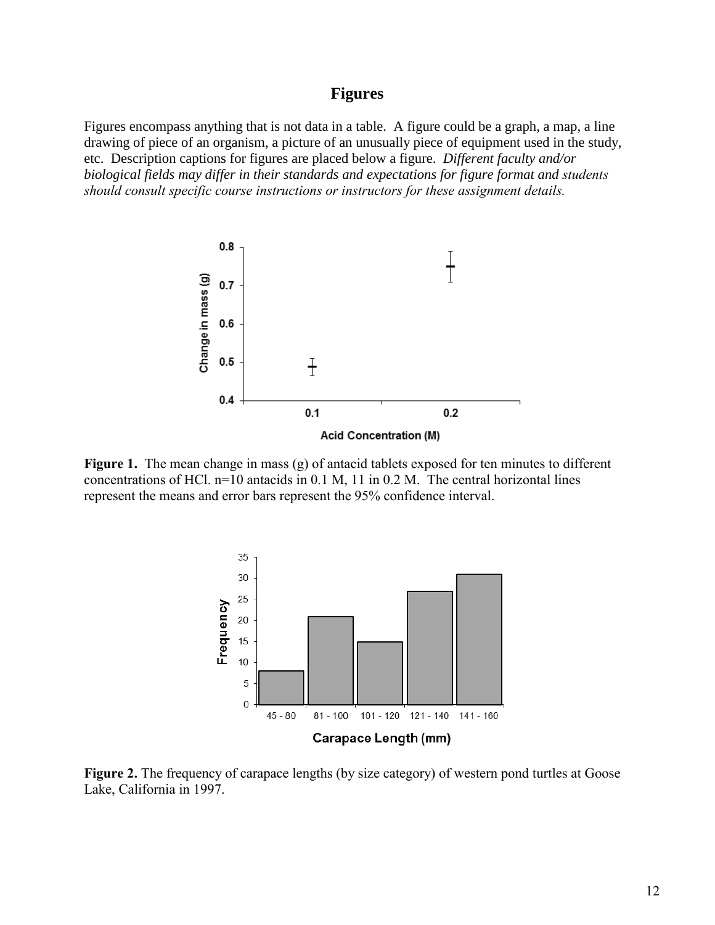# **Figures**

Figures encompass anything that is not data in a table. A figure could be a graph, a map, a line drawing of piece of an organism, a picture of an unusually piece of equipment used in the study, etc. Description captions for figures are placed below a figure. *Different faculty and/or biological fields may differ in their standards and expectations for figure format and students should consult specific course instructions or instructors for these assignment details.* 



**Figure 1.** The mean change in mass (g) of antacid tablets exposed for ten minutes to different concentrations of HCl. n=10 antacids in 0.1 M, 11 in 0.2 M. The central horizontal lines represent the means and error bars represent the 95% confidence interval.



**Figure 2.** The frequency of carapace lengths (by size category) of western pond turtles at Goose Lake, California in 1997.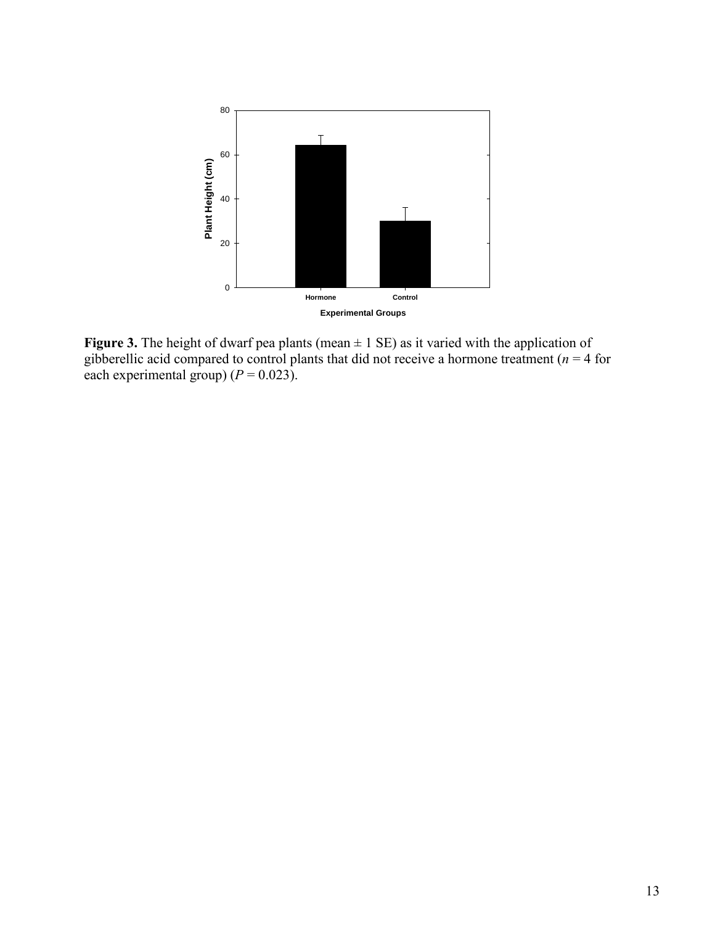

**Figure 3.** The height of dwarf pea plants (mean  $\pm$  1 SE) as it varied with the application of gibberellic acid compared to control plants that did not receive a hormone treatment ( $n = 4$  for each experimental group)  $(P = 0.023)$ .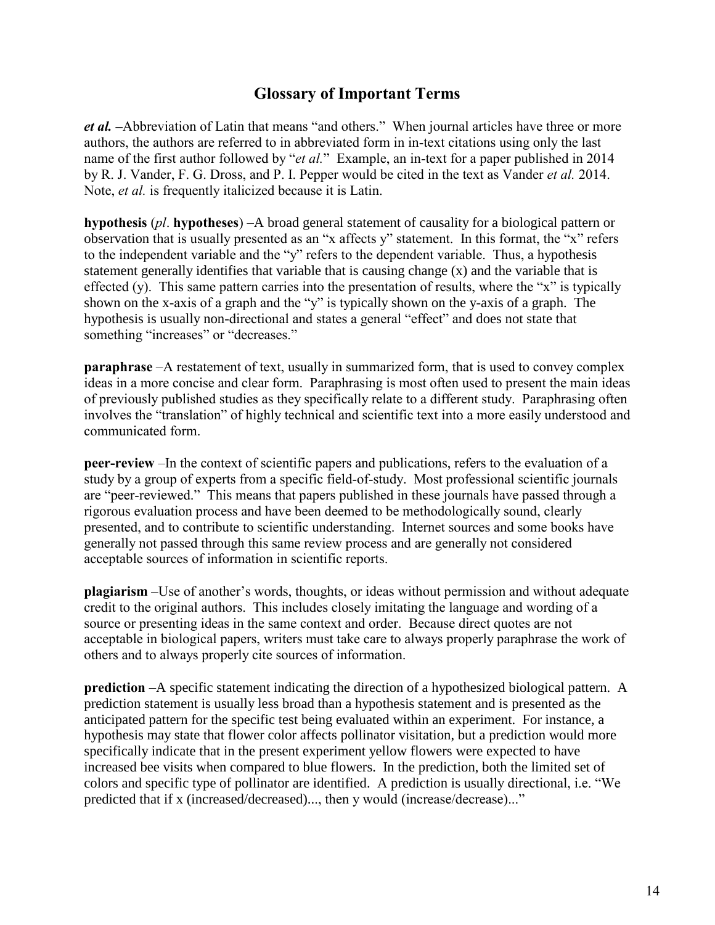# **Glossary of Important Terms**

*et al. –*Abbreviation of Latin that means "and others." When journal articles have three or more authors, the authors are referred to in abbreviated form in in-text citations using only the last name of the first author followed by "*et al.*" Example, an in-text for a paper published in 2014 by R. J. Vander, F. G. Dross, and P. I. Pepper would be cited in the text as Vander *et al.* 2014. Note, *et al.* is frequently italicized because it is Latin.

**hypothesis** (*pl*. **hypotheses**) –A broad general statement of causality for a biological pattern or observation that is usually presented as an "x affects y" statement. In this format, the "x" refers to the independent variable and the "y" refers to the dependent variable. Thus, a hypothesis statement generally identifies that variable that is causing change (x) and the variable that is effected (y). This same pattern carries into the presentation of results, where the "x" is typically shown on the x-axis of a graph and the "y" is typically shown on the y-axis of a graph. The hypothesis is usually non-directional and states a general "effect" and does not state that something "increases" or "decreases."

**paraphrase** –A restatement of text, usually in summarized form, that is used to convey complex ideas in a more concise and clear form. Paraphrasing is most often used to present the main ideas of previously published studies as they specifically relate to a different study. Paraphrasing often involves the "translation" of highly technical and scientific text into a more easily understood and communicated form.

**peer-review** –In the context of scientific papers and publications, refers to the evaluation of a study by a group of experts from a specific field-of-study. Most professional scientific journals are "peer-reviewed." This means that papers published in these journals have passed through a rigorous evaluation process and have been deemed to be methodologically sound, clearly presented, and to contribute to scientific understanding. Internet sources and some books have generally not passed through this same review process and are generally not considered acceptable sources of information in scientific reports.

**plagiarism** –Use of another's words, thoughts, or ideas without permission and without adequate credit to the original authors. This includes closely imitating the language and wording of a source or presenting ideas in the same context and order. Because direct quotes are not acceptable in biological papers, writers must take care to always properly paraphrase the work of others and to always properly cite sources of information.

**prediction** –A specific statement indicating the direction of a hypothesized biological pattern. A prediction statement is usually less broad than a hypothesis statement and is presented as the anticipated pattern for the specific test being evaluated within an experiment. For instance, a hypothesis may state that flower color affects pollinator visitation, but a prediction would more specifically indicate that in the present experiment yellow flowers were expected to have increased bee visits when compared to blue flowers. In the prediction, both the limited set of colors and specific type of pollinator are identified. A prediction is usually directional, i.e. "We predicted that if x (increased/decreased)..., then y would (increase/decrease)..."